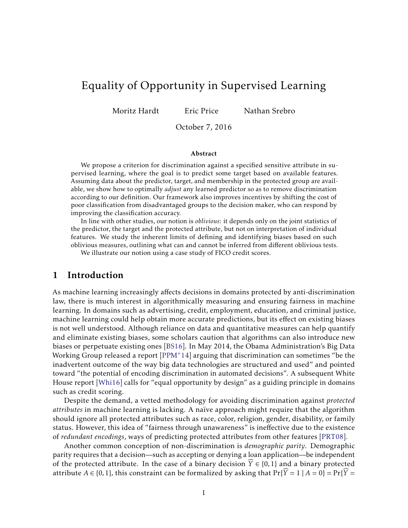# Equality of Opportunity in Supervised Learning

Moritz Hardt Eric Price Nathan Srebro

October 7, 2016

#### Abstract

We propose a criterion for discrimination against a specified sensitive attribute in supervised learning, where the goal is to predict some target based on available features. Assuming data about the predictor, target, and membership in the protected group are available, we show how to optimally *adjust* any learned predictor so as to remove discrimination according to our definition. Our framework also improves incentives by shifting the cost of poor classification from disadvantaged groups to the decision maker, who can respond by improving the classification accuracy.

In line with other studies, our notion is *oblivious*: it depends only on the joint statistics of the predictor, the target and the protected attribute, but not on interpretation of individual features. We study the inherent limits of defining and identifying biases based on such oblivious measures, outlining what can and cannot be inferred from different oblivious tests.

We illustrate our notion using a case study of FICO credit scores.

## 1 Introduction

As machine learning increasingly affects decisions in domains protected by anti-discrimination law, there is much interest in algorithmically measuring and ensuring fairness in machine learning. In domains such as advertising, credit, employment, education, and criminal justice, machine learning could help obtain more accurate predictions, but its effect on existing biases is not well understood. Although reliance on data and quantitative measures can help quantify and eliminate existing biases, some scholars caution that algorithms can also introduce new biases or perpetuate existing ones [\[BS16\]](#page-21-0). In May 2014, the Obama Administration's Big Data Working Group released a report [\[PPM](#page-21-1)+14] arguing that discrimination can sometimes "be the inadvertent outcome of the way big data technologies are structured and used" and pointed toward "the potential of encoding discrimination in automated decisions". A subsequent White House report [\[Whi16\]](#page-21-2) calls for "equal opportunity by design" as a guiding principle in domains such as credit scoring.

Despite the demand, a vetted methodology for avoiding discrimination against *protected attributes* in machine learning is lacking. A naïve approach might require that the algorithm should ignore all protected attributes such as race, color, religion, gender, disability, or family status. However, this idea of "fairness through unawareness" is ineffective due to the existence of *redundant encodings*, ways of predicting protected attributes from other features [\[PRT08\]](#page-21-3).

Another common conception of non-discrimination is *demographic parity*. Demographic parity requires that a decision—such as accepting or denying a loan application—be independent of the protected attribute. In the case of a binary decision  $\hat{Y} \in \{0,1\}$  and a binary protected attribute  $A \in \{0,1\}$ , this constraint can be formalized by asking that  $Pr{\hat{Y}} = 1 | A = 0$  =  $Pr{\hat{Y}} =$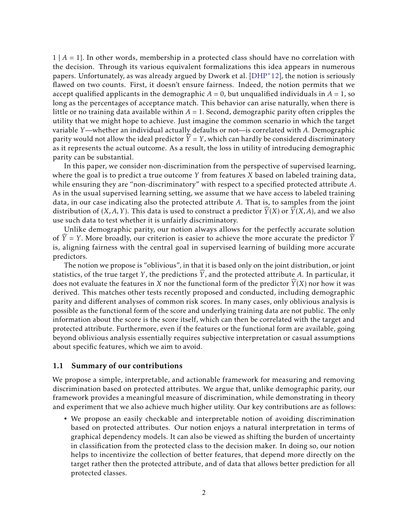1 | *A* = 1}*.* In other words, membership in a protected class should have no correlation with the decision. Through its various equivalent formalizations this idea appears in numerous papers. Unfortunately, as was already argued by Dwork et al.  $[DHP^+12]$  $[DHP^+12]$ , the notion is seriously flawed on two counts. First, it doesn't ensure fairness. Indeed, the notion permits that we accept qualified applicants in the demographic  $A = 0$ , but unqualified individuals in  $A = 1$ , so long as the percentages of acceptance match. This behavior can arise naturally, when there is little or no training data available within  $A = 1$ . Second, demographic parity often cripples the utility that we might hope to achieve. Just imagine the common scenario in which the target variable *Y*—whether an individual actually defaults or not—is correlated with *A.* Demographic parity would not allow the ideal predictor  $\hat{Y} = Y$ , which can hardly be considered discriminatory as it represents the actual outcome. As a result, the loss in utility of introducing demographic parity can be substantial.

In this paper, we consider non-discrimination from the perspective of supervised learning, where the goal is to predict a true outcome *Y* from features *X* based on labeled training data, while ensuring they are "non-discriminatory" with respect to a specified protected attribute *A*. As in the usual supervised learning setting, we assume that we have access to labeled training data, in our case indicating also the protected attribute *A*. That is, to samples from the joint distribution of  $(X, A, Y)$ . This data is used to construct a predictor  $\widehat{Y}(X)$  or  $\widehat{Y}(X, A)$ , and we also use such data to test whether it is unfairly discriminatory.

Unlike demographic parity, our notion always allows for the perfectly accurate solution of  $\overline{Y} = Y$ . More broadly, our criterion is easier to achieve the more accurate the predictor  $\overline{Y}$ is, aligning fairness with the central goal in supervised learning of building more accurate predictors.

The notion we propose is "oblivious", in that it is based only on the joint distribution, or joint statistics, of the true target *Y*, the predictions  $\widehat{Y}$ , and the protected attribute *A*. In particular, it does not evaluate the features in *X* nor the functional form of the predictor  $Y(X)$  nor how it was derived. This matches other tests recently proposed and conducted, including demographic parity and different analyses of common risk scores. In many cases, only oblivious analysis is possible as the functional form of the score and underlying training data are not public. The only information about the score is the score itself, which can then be correlated with the target and protected attribute. Furthermore, even if the features or the functional form are available, going beyond oblivious analysis essentially requires subjective interpretation or casual assumptions about specific features, which we aim to avoid.

#### 1.1 Summary of our contributions

We propose a simple, interpretable, and actionable framework for measuring and removing discrimination based on protected attributes. We argue that, unlike demographic parity, our framework provides a meaningful measure of discrimination, while demonstrating in theory and experiment that we also achieve much higher utility. Our key contributions are as follows:

• We propose an easily checkable and interpretable notion of avoiding discrimination based on protected attributes. Our notion enjoys a natural interpretation in terms of graphical dependency models. It can also be viewed as shifting the burden of uncertainty in classification from the protected class to the decision maker. In doing so, our notion helps to incentivize the collection of better features, that depend more directly on the target rather then the protected attribute, and of data that allows better prediction for all protected classes.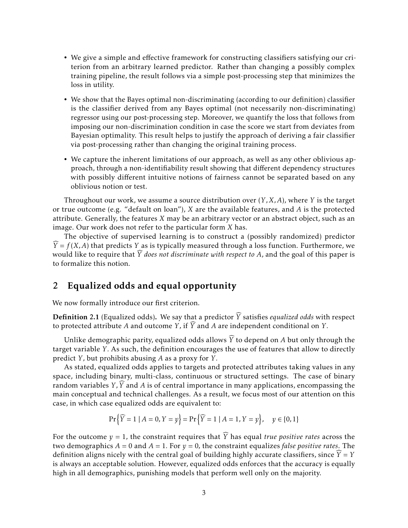- We give a simple and effective framework for constructing classifiers satisfying our criterion from an arbitrary learned predictor. Rather than changing a possibly complex training pipeline, the result follows via a simple post-processing step that minimizes the loss in utility.
- We show that the Bayes optimal non-discriminating (according to our definition) classifier is the classifier derived from any Bayes optimal (not necessarily non-discriminating) regressor using our post-processing step. Moreover, we quantify the loss that follows from imposing our non-discrimination condition in case the score we start from deviates from Bayesian optimality. This result helps to justify the approach of deriving a fair classifier via post-processing rather than changing the original training process.
- We capture the inherent limitations of our approach, as well as any other oblivious approach, through a non-identifiability result showing that different dependency structures with possibly different intuitive notions of fairness cannot be separated based on any oblivious notion or test.

Throughout our work, we assume a source distribution over (*Y ,X,A*), where *Y* is the target or true outcome (e.g. "default on loan"), *X* are the available features, and *A* is the protected attribute. Generally, the features *X* may be an arbitrary vector or an abstract object, such as an image. Our work does not refer to the particular form *X* has.

The objective of supervised learning is to construct a (possibly randomized) predictor  $\widehat{Y}$  = *f* (*X,A*) that predicts *Y* as is typically measured through a loss function. Furthermore, we would like to require that  $\widehat{Y}$  *does not discriminate with respect to A*, and the goal of this paper is to formalize this notion.

## 2 Equalized odds and equal opportunity

We now formally introduce our first criterion.

**Definition 2.1** (Equalized odds). We say that a predictor  $\widehat{Y}$  satisfies *equalized odds* with respect to protected attribute A and outcome *Y*, if  $\widehat{Y}$  and A are independent conditional on *Y*.

Unlike demographic parity, equalized odds allows  $\widehat{Y}$  to depend on *A* but only through the target variable *Y .* As such, the definition encourages the use of features that allow to directly predict *Y ,* but prohibits abusing *A* as a proxy for *Y .*

As stated, equalized odds applies to targets and protected attributes taking values in any space, including binary, multi-class, continuous or structured settings. The case of binary random variables *Y*,  $\widehat{Y}$  and *A* is of central importance in many applications, encompassing the main conceptual and technical challenges. As a result, we focus most of our attention on this case, in which case equalized odds are equivalent to:

$$
\Pr\left\{\widehat{Y} = 1 \mid A = 0, Y = y\right\} = \Pr\left\{\widehat{Y} = 1 \mid A = 1, Y = y\right\}, \quad y \in \{0, 1\}
$$

For the outcome  $y = 1$ , the constraint requires that  $\widehat{Y}$  has equal *true positive rates* across the two demographics  $A = 0$  and  $A = 1$ . For  $y = 0$ , the constraint equalizes *false positive rates*. The definition aligns nicely with the central goal of building highly accurate classifiers, since  $\hat{Y} = Y$ is always an acceptable solution. However, equalized odds enforces that the accuracy is equally high in all demographics, punishing models that perform well only on the majority.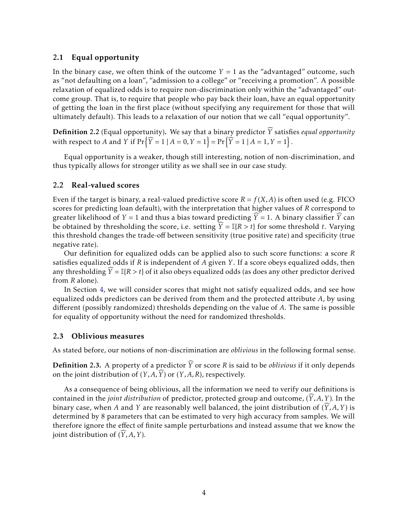#### 2.1 Equal opportunity

In the binary case, we often think of the outcome  $Y = 1$  as the "advantaged" outcome, such as "not defaulting on a loan", "admission to a college" or "receiving a promotion". A possible relaxation of equalized odds is to require non-discrimination only within the "advantaged" outcome group. That is, to require that people who pay back their loan, have an equal opportunity of getting the loan in the first place (without specifying any requirement for those that will ultimately default). This leads to a relaxation of our notion that we call "equal opportunity".

**Definition** 2.2 (Equal opportunity). We say that a binary predictor  $\widehat{Y}$  satisfies *equal opportunity* with respect to *A* and *Y* if  $Pr\left\{ \widehat{Y} = 1 \mid A = 0, Y = 1 \right\} = Pr\left\{ \widehat{Y} = 1 \mid A = 1, Y = 1 \right\}$ .

Equal opportunity is a weaker, though still interesting, notion of non-discrimination, and thus typically allows for stronger utility as we shall see in our case study.

#### 2.2 Real-valued scores

Even if the target is binary, a real-valued predictive score  $R = f(X, A)$  is often used (e.g. FICO) scores for predicting loan default), with the interpretation that higher values of *R* correspond to greater likelihood of *Y* = 1 and thus a bias toward predicting  $\widehat{Y}$  = 1. A binary classifier  $\widehat{Y}$  can be obtained by thresholding the score, i.e. setting  $\hat{Y} = \mathbb{I}{R > t}$  for some threshold *t*. Varying this threshold changes the trade-off between sensitivity (true positive rate) and specificity (true negative rate).

Our definition for equalized odds can be applied also to such score functions: a score *R* satisfies equalized odds if *R* is independent of *A* given *Y* . If a score obeys equalized odds, then any thresholding  $\hat{Y} = \mathbb{I}{R > t}$  of it also obeys equalized odds (as does any other predictor derived from *R* alone).

In Section [4,](#page-4-0) we will consider scores that might not satisfy equalized odds, and see how equalized odds predictors can be derived from them and the protected attribute *A*, by using different (possibly randomized) thresholds depending on the value of *A*. The same is possible for equality of opportunity without the need for randomized thresholds.

#### 2.3 Oblivious measures

As stated before, our notions of non-discrimination are *oblivious* in the following formal sense.

**Definition 2.3.** A property of a predictor  $\widehat{Y}$  or score *R* is said to be *oblivious* if it only depends on the joint distribution of  $(Y, A, \widehat{Y})$  or  $(Y, A, R)$ , respectively.

As a consequence of being oblivious, all the information we need to verify our definitions is contained in the *joint distribution* of predictor, protected group and outcome,  $(Y, A, Y)$ . In the binary case, when *A* and *Y* are reasonably well balanced, the joint distribution of  $(Y, A, Y)$  is determined by 8 parameters that can be estimated to very high accuracy from samples. We will therefore ignore the effect of finite sample perturbations and instead assume that we know the joint distribution of  $(Y, A, Y)$ .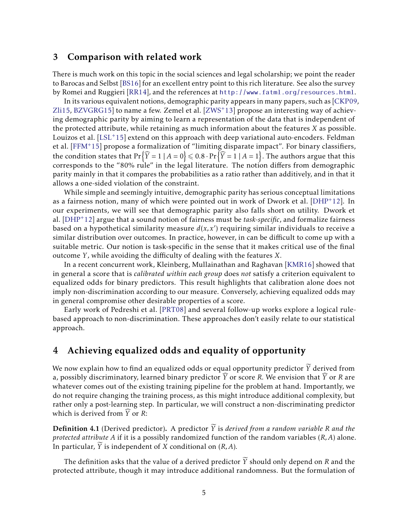## 3 Comparison with related work

There is much work on this topic in the social sciences and legal scholarship; we point the reader to Barocas and Selbst [\[BS16\]](#page-21-0) for an excellent entry point to this rich literature. See also the survey by Romei and Ruggieri [\[RR14\]](#page-21-5), and the references at <http://www.fatml.org/resources.html>.

In its various equivalent notions, demographic parity appears in many papers, such as [\[CKP09,](#page-21-6)  $Zli15$ , [BZVGRG15\]](#page-21-8) to name a few. Zemel et al.  $[ZWS^+13]$  $[ZWS^+13]$  propose an interesting way of achieving demographic parity by aiming to learn a representation of the data that is independent of the protected attribute, while retaining as much information about the features *X* as possible. Louizos et al.  $[LSL^+15]$  $[LSL^+15]$  extend on this approach with deep variational auto-encoders. Feldman et al. [\[FFM](#page-21-11)+15] propose a formalization of "limiting disparate impact". For binary classifiers, the condition states that  $Pr\left\{ \widehat{Y} = 1 \mid A = 0 \right\} \leq 0.8 \cdot Pr\left\{ \widehat{Y} = 1 \mid A = 1 \right\}$ . The authors argue that this corresponds to the "80% rule" in the legal literature. The notion differs from demographic parity mainly in that it compares the probabilities as a ratio rather than additively, and in that it allows a one-sided violation of the constraint.

While simple and seemingly intuitive, demographic parity has serious conceptual limitations as a fairness notion, many of which were pointed out in work of Dwork et al. [\[DHP](#page-21-4)+12]. In our experiments, we will see that demographic parity also falls short on utility. Dwork et al. [\[DHP](#page-21-4)+12] argue that a sound notion of fairness must be *task-specific*, and formalize fairness based on a hypothetical similarity measure  $d(x, x')$  requiring similar individuals to receive a similar distribution over outcomes. In practice, however, in can be difficult to come up with a suitable metric. Our notion is task-specific in the sense that it makes critical use of the final outcome *Y ,* while avoiding the difficulty of dealing with the features *X.*

In a recent concurrent work, Kleinberg, Mullainathan and Raghavan [\[KMR16\]](#page-21-12) showed that in general a score that is *calibrated within each group* does *not* satisfy a criterion equivalent to equalized odds for binary predictors. This result highlights that calibration alone does not imply non-discrimination according to our measure. Conversely, achieving equalized odds may in general compromise other desirable properties of a score.

Early work of Pedreshi et al. [\[PRT08\]](#page-21-3) and several follow-up works explore a logical rulebased approach to non-discrimination. These approaches don't easily relate to our statistical approach.

# <span id="page-4-0"></span>4 Achieving equalized odds and equality of opportunity

We now explain how to find an equalized odds or equal opportunity predictor  $\widetilde{Y}$  derived from a, possibly discriminatory, learned binary predictor  $\overline{Y}$  or score  $R$ . We envision that  $\overline{Y}$  or  $R$  are whatever comes out of the existing training pipeline for the problem at hand. Importantly, we do not require changing the training process, as this might introduce additional complexity, but rather only a post-learning step. In particular, we will construct a non-discriminating predictor which is derived from *Y* or *R*:

**Definition 4.1** (Derived predictor). A predictor  $\widetilde{Y}$  is *derived from a random variable* R and the *protected attribute A* if it is a possibly randomized function of the random variables (*R,A*) alone. In particular, *Y* is independent of *X* conditional on (*R*, *A*).

The definition asks that the value of a derived predictor  $\widetilde{Y}$  should only depend on *R* and the protected attribute, though it may introduce additional randomness. But the formulation of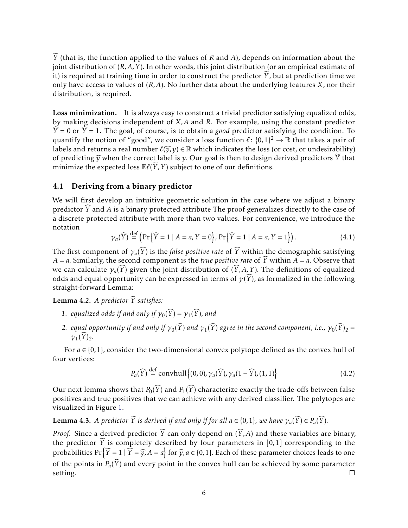*Y* (that is, the function applied to the values of *R* and *A*), depends on information about the joint distribution of (*R,A,Y* )*.* In other words, this joint distribution (or an empirical estimate of it) is required at training time in order to construct the predictor  $Y$ , but at prediction time we only have access to values of (*R,A*). No further data about the underlying features *X*, nor their distribution, is required.

Loss minimization. It is always easy to construct a trivial predictor satisfying equalized odds, by making decisions independent of *X,A* and *R*. For example, using the constant predictor  $Y = 0$  or  $Y = 1$ . The goal, of course, is to obtain a *good* predictor satisfying the condition. To quantify the notion of "good", we consider a loss function  $\ell \colon \{0,1\}^2 \to \mathbb{R}$  that takes a pair of labels and returns a real number  $\ell(\widehat{v},v) \in \mathbb{R}$  which indicates the loss (or cost, or undesirability) of predicting  $\widehat{\mathbf{y}}$  when the correct label is *y*. Our goal is then to design derived predictors *Y* that minimize the expected loss  $\mathbb{E}\ell(Y, Y)$  subject to one of our definitions.

## 4.1 Deriving from a binary predictor

We will first develop an intuitive geometric solution in the case where we adjust a binary predictor *Y*b and *A* is a binary protected attribute The proof generalizes directly to the case of a discrete protected attribute with more than two values. For convenience, we introduce the notation

$$
\gamma_a(\widehat{Y}) \stackrel{\text{def}}{=} \left( \Pr\left\{ \widehat{Y} = 1 \mid A = a, Y = 0 \right\}, \Pr\left\{ \widehat{Y} = 1 \mid A = a, Y = 1 \right\} \right). \tag{4.1}
$$

The first component of  $\gamma_a(Y)$  is the *false positive rate* of *Y* within the demographic satisfying *A* = *a*. Similarly, the second component is the *true positive rate* of  $\hat{Y}$  within  $\hat{A} = \hat{a}$ . Observe that we can calculate  $\gamma_a(Y)$  given the joint distribution of  $(Y, A, Y)$ . The definitions of equalized odds and equal opportunity can be expressed in terms of  $\gamma(\bar{Y})$ , as formalized in the following straight-forward Lemma:

<span id="page-5-0"></span>**Lemma 4.2.** A predictor  $\widehat{Y}$  satisfies:

- *1. equalized odds if and only if*  $\gamma_0(\widehat{Y}) = \gamma_1(\widehat{Y})$ *, and*
- *2. equal opportunity if and only if*  $\gamma_0(\widehat{Y})$  *and*  $\gamma_1(\widehat{Y})$  *agree in the second component, i.e.,*  $\gamma_0(\widehat{Y})_2 =$  $\gamma_1(\overline{Y})_2$ .

For  $a \in \{0, 1\}$ , consider the two-dimensional convex polytope defined as the convex hull of four vertices:

$$
P_a(\widehat{Y}) \stackrel{\text{def}}{=} \text{convhull}\left\{(0,0), \gamma_a(\widehat{Y}), \gamma_a(1-\widehat{Y}), (1,1)\right\}
$$
(4.2)

Our next lemma shows that  $P_0(\widehat{Y})$  and  $P_1(\widehat{Y})$  characterize exactly the trade-offs between false positives and true positives that we can achieve with any derived classifier. The polytopes are visualized in Figure [1.](#page-6-0)

# <span id="page-5-1"></span>**Lemma 4.3.** A predictor  $\widetilde{Y}$  is derived if and only if for all  $a \in \{0,1\}$ , we have  $\gamma_a(\widetilde{Y}) \in P_a(\widehat{Y})$ .

*Proof.* Since a derived predictor  $\widetilde{Y}$  can only depend on  $(\widetilde{Y}, A)$  and these variables are binary, the predictor  $\widetilde{Y}$  is completely described by four parameters in [0,1] corresponding to the probabilities  $Pr\left\{ \widetilde{Y} = 1 \mid \widehat{Y} = \widehat{y}, A = a \right\}$  for  $\widehat{y}, a \in \{0, 1\}$ . Each of these parameter choices leads to one of the points in  $P_a(Y)$  and every point in the convex hull can be achieved by some parameter setting.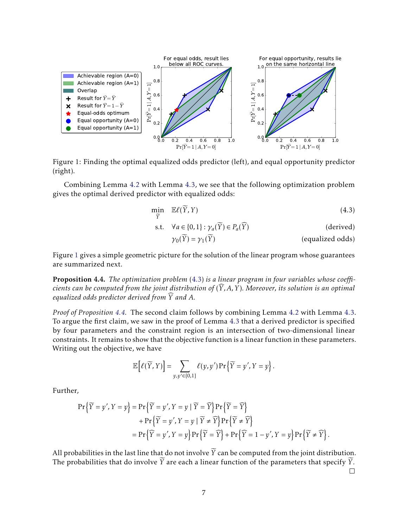<span id="page-6-0"></span>

Figure 1: Finding the optimal equalized odds predictor (left), and equal opportunity predictor (right).

Combining Lemma [4.2](#page-5-0) with Lemma [4.3,](#page-5-1) we see that the following optimization problem gives the optimal derived predictor with equalized odds:

$$
\min_{\widetilde{Y}} \quad \mathbb{E}\ell(\widetilde{Y}, Y) \tag{4.3}
$$

$$
\text{s.t.} \quad \forall a \in \{0, 1\} : \gamma_a(\widetilde{Y}) \in P_a(\widehat{Y}) \tag{derived}
$$

<span id="page-6-1"></span>
$$
\gamma_0(Y) = \gamma_1(Y) \tag{equalized odds}
$$

Figure [1](#page-6-0) gives a simple geometric picture for the solution of the linear program whose guarantees are summarized next.

<span id="page-6-2"></span>Proposition 4.4. *The optimization problem* [\(4.3\)](#page-6-1) *is a linear program in four variables whose coefficients can be computed from the joint distribution of*  $(\widehat{Y}, A, Y)$ *. Moreover, its solution is an optimal equalized odds predictor derived from*  $\widehat{Y}$  *and*  $A$ .

*Proof of Proposition [4.4.](#page-6-2)* The second claim follows by combining Lemma [4.2](#page-5-0) with Lemma [4.3.](#page-5-1) To argue the first claim, we saw in the proof of Lemma [4.3](#page-5-1) that a derived predictor is specified by four parameters and the constraint region is an intersection of two-dimensional linear constraints. It remains to show that the objective function is a linear function in these parameters. Writing out the objective, we have

$$
\mathbb{E}\Big[\ell(\widetilde{Y},Y)\Big]=\sum_{y,y'\in\{0,1\}}\ell(y,y')\Pr\left\{\widetilde{Y}=y',Y=y\right\}.
$$

Further,

$$
\Pr\left\{\widetilde{Y} = y', Y = y\right\} = \Pr\left\{\widetilde{Y} = y', Y = y \mid \widetilde{Y} = \widehat{Y}\right\} \Pr\left\{\widetilde{Y} = \widehat{Y}\right\} \n+ \Pr\left\{\widetilde{Y} = y', Y = y \mid \widetilde{Y} \neq \widehat{Y}\right\} \Pr\left\{\widetilde{Y} \neq \widehat{Y}\right\} \n= \Pr\left\{\widetilde{Y} = y', Y = y\right\} \Pr\left\{\widetilde{Y} = \widehat{Y}\right\} + \Pr\left\{\widetilde{Y} = 1 - y', Y = y\right\} \Pr\left\{\widetilde{Y} \neq \widehat{Y}\right\}.
$$

All probabilities in the last line that do not involve  $\widetilde{Y}$  can be computed from the joint distribution. The probabilities that do involve  $\widetilde{Y}$  are each a linear function of the parameters that specify  $\widetilde{Y}$ .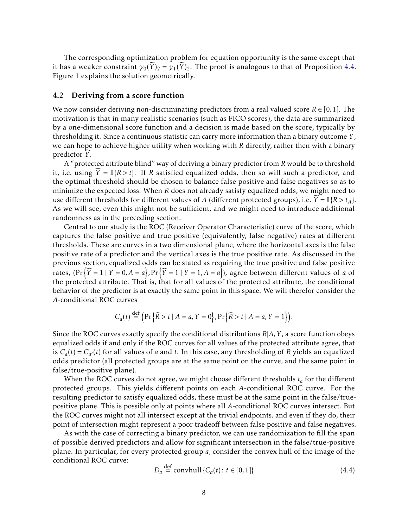The corresponding optimization problem for equation opportunity is the same except that it has a weaker constraint  $\gamma_0(\widetilde{Y})_2 = \gamma_1(\widetilde{Y})_2$ . The proof is analogous to that of Proposition [4.4.](#page-6-2) Figure [1](#page-6-0) explains the solution geometrically.

## <span id="page-7-0"></span>4.2 Deriving from a score function

We now consider deriving non-discriminating predictors from a real valued score  $R \in [0,1]$ . The motivation is that in many realistic scenarios (such as FICO scores), the data are summarized by a one-dimensional score function and a decision is made based on the score, typically by thresholding it. Since a continuous statistic can carry more information than a binary outcome *Y* , we can hope to achieve higher utility when working with *R* directly, rather then with a binary predictor *Y*.

A "protected attribute blind" way of deriving a binary predictor from *R* would be to threshold it, i.e. using  $\hat{Y} = \mathbb{I}{R > t}$ . If *R* satisfied equalized odds, then so will such a predictor, and the optimal threshold should be chosen to balance false positive and false negatives so as to minimize the expected loss. When *R* does not already satisfy equalized odds, we might need to use different thresholds for different values of *A* (different protected groups), i.e.  $\overline{Y} = \mathbb{I}{R > t_A}$ . As we will see, even this might not be sufficient, and we might need to introduce additional randomness as in the preceding section.

Central to our study is the ROC (Receiver Operator Characteristic) curve of the score, which captures the false positive and true positive (equivalently, false negative) rates at different thresholds. These are curves in a two dimensional plane, where the horizontal axes is the false positive rate of a predictor and the vertical axes is the true positive rate. As discussed in the previous section, equalized odds can be stated as requiring the true positive and false positive rates,  $(\Pr{\widehat{Y} = 1 | Y = 0, A = a}, \Pr{\widehat{Y} = 1 | Y = 1, A = a})$ , agree between different values of *a* of the protected attribute. That is, that for all values of the protected attribute, the conditional behavior of the predictor is at exactly the same point in this space. We will therefor consider the *A*-conditional ROC curves

$$
C_a(t) \stackrel{\text{def}}{=} \Big(\Pr\Big\{\widehat{R} > t \mid A = a, Y = 0\Big\}, \Pr\Big\{\widehat{R} > t \mid A = a, Y = 1\Big\}\Big).
$$

Since the ROC curves exactly specify the conditional distributions *R*|*A,Y* , a score function obeys equalized odds if and only if the ROC curves for all values of the protected attribute agree, that is  $C_a(t) = C_{a'}(t)$  for all values of *a* and *t*. In this case, any thresholding of *R* yields an equalized odds predictor (all protected groups are at the same point on the curve, and the same point in false/true-positive plane).

When the ROC curves do not agree, we might choose different thresholds *t<sup>a</sup>* for the different protected groups. This yields different points on each *A*-conditional ROC curve. For the resulting predictor to satisfy equalized odds, these must be at the same point in the false/truepositive plane. This is possible only at points where all *A*-conditional ROC curves intersect. But the ROC curves might not all intersect except at the trivial endpoints, and even if they do, their point of intersection might represent a poor tradeoff between false positive and false negatives.

As with the case of correcting a binary predictor, we can use randomization to fill the span of possible derived predictors and allow for significant intersection in the false/true-positive plane. In particular, for every protected group *a*, consider the convex hull of the image of the conditional ROC curve:

$$
D_a \stackrel{\text{def}}{=} \text{convhull} \{ C_a(t) \colon t \in [0, 1] \} \tag{4.4}
$$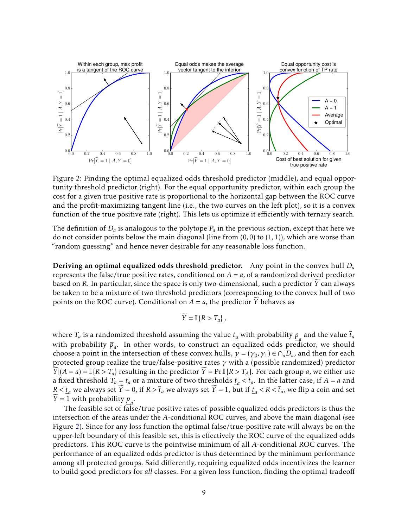<span id="page-8-0"></span>

Figure 2: Finding the optimal equalized odds threshold predictor (middle), and equal opportunity threshold predictor (right). For the equal opportunity predictor, within each group the cost for a given true positive rate is proportional to the horizontal gap between the ROC curve and the profit-maximizing tangent line (i.e., the two curves on the left plot), so it is a convex function of the true positive rate (right). This lets us optimize it efficiently with ternary search.

The definition of  $D_a$  is analogous to the polytope  $P_a$  in the previous section, except that here we do not consider points below the main diagonal (line from (0*,*0) to (1*,*1)), which are worse than "random guessing" and hence never desirable for any reasonable loss function.

Deriving an optimal equalized odds threshold predictor. Any point in the convex hull *D<sup>a</sup>* represents the false/true positive rates, conditioned on  $A = a$ , of a randomized derived predictor based on *R*. In particular, since the space is only two-dimensional, such a predictor  $\overline{Y}$  can always be taken to be a mixture of two threshold predictors (corresponding to the convex hull of two points on the ROC curve). Conditional on  $A = a$ , the predictor  $\widetilde{Y}$  behaves as

$$
\widetilde{Y} = \mathbb{I}\{R > T_a\},\,
$$

where  $T_a$  is a randomized threshold assuming the value  $\underline{t}_a$  with probability  $\underline{p}_a$  and the value  $\overline{t}_a$ with probability  $\overline{p}_a$ . In other words, to construct an equalized odds predictor, we should choose a point in the intersection of these convex hulls,  $\gamma = (\gamma_0, \gamma_1) \in \cap_a \overline{D}_a$ , and then for each protected group realize the true/false-positive rates *γ* with a (possible randomized) predictor  $\widetilde{Y}|(A = a) = \mathbb{I}\{R > T_a\}$  resulting in the predictor  $\widetilde{Y} = \Pr \mathbb{I}\{R > T_A\}$ . For each group *a*, we either use a fixed threshold  $T_a \equiv t_a$  or a mixture of two thresholds  $\underline{t}_a < \overline{t}_a$ . In the latter case, if  $A = a$  and  $R < t_a$  we always set  $Y = 0$ , if  $R > t_a$  we always set  $Y = 1$ , but if  $t_a < R < t_a$ , we flip a coin and set *Y* = 1 with probability  $p_a$ .

The feasible set of false/true positive rates of possible equalized odds predictors is thus the intersection of the areas under the *A*-conditional ROC curves, and above the main diagonal (see Figure [2\)](#page-8-0). Since for any loss function the optimal false/true-positive rate will always be on the upper-left boundary of this feasible set, this is effectively the ROC curve of the equalized odds predictors. This ROC curve is the pointwise minimum of all *A*-conditional ROC curves. The performance of an equalized odds predictor is thus determined by the minimum performance among all protected groups. Said differently, requiring equalized odds incentivizes the learner to build good predictors for *all* classes. For a given loss function, finding the optimal tradeoff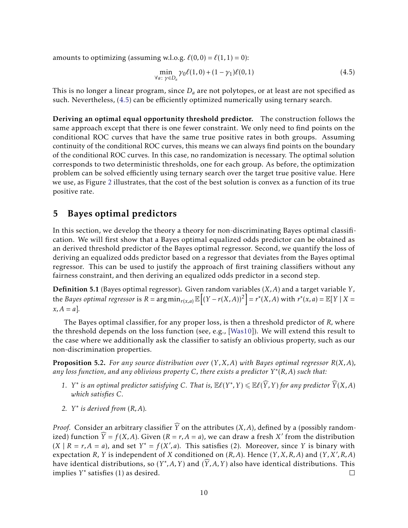amounts to optimizing (assuming w.l.o.g.  $\ell(0,0) = \ell(1,1) = 0$ ):

<span id="page-9-0"></span>
$$
\min_{\forall a:\ \gamma \in D_a} \gamma_0 \ell(1,0) + (1 - \gamma_1)\ell(0,1) \tag{4.5}
$$

This is no longer a linear program, since *D<sup>a</sup>* are not polytopes, or at least are not specified as such. Nevertheless, [\(4.5\)](#page-9-0) can be efficiently optimized numerically using ternary search.

Deriving an optimal equal opportunity threshold predictor. The construction follows the same approach except that there is one fewer constraint. We only need to find points on the conditional ROC curves that have the same true positive rates in both groups. Assuming continuity of the conditional ROC curves, this means we can always find points on the boundary of the conditional ROC curves. In this case, no randomization is necessary. The optimal solution corresponds to two deterministic thresholds, one for each group. As before, the optimization problem can be solved efficiently using ternary search over the target true positive value. Here we use, as Figure [2](#page-8-0) illustrates, that the cost of the best solution is convex as a function of its true positive rate.

## 5 Bayes optimal predictors

In this section, we develop the theory a theory for non-discriminating Bayes optimal classification. We will first show that a Bayes optimal equalized odds predictor can be obtained as an derived threshold predictor of the Bayes optimal regressor. Second, we quantify the loss of deriving an equalized odds predictor based on a regressor that deviates from the Bayes optimal regressor. This can be used to justify the approach of first training classifiers without any fairness constraint, and then deriving an equalized odds predictor in a second step.

Definition 5.1 (Bayes optimal regressor). Given random variables (*X,A*) and a target variable *Y ,* the *Bayes optimal regressor* is  $R = \argmin_{r(x,a)} \mathbb{E}\left[(Y - r(X,A))^2\right] = r^*(X,A)$  with  $r^*(x,a) = \mathbb{E}[Y \mid X =$  $x, A = a$ ].

The Bayes optimal classifier, for any proper loss, is then a threshold predictor of *R,* where the threshold depends on the loss function (see, e.g., [\[Was10\]](#page-21-13)). We will extend this result to the case where we additionally ask the classifier to satisfy an oblivious property, such as our non-discrimination properties.

<span id="page-9-1"></span>Proposition 5.2. *For any source distribution over* (*Y ,X,A*) *with Bayes optimal regressor R*(*X,A*)*, any loss function, and any oblivious property C, there exists a predictor Y* ∗ (*R,A*) *such that:*

- 1. *Y*<sup>\*</sup> is an optimal predictor satisfying *C*. That is,  $\mathbb{E}\ell(Y^*,Y) \leq \mathbb{E}\ell(\widehat{Y},Y)$  for any predictor  $\widehat{Y}(X,A)$ *which satisfies C.*
- *2. Y* ∗ *is derived from* (*R,A*)*.*

*Proof.* Consider an arbitrary classifier  $\widehat{Y}$  on the attributes (*X,A*), defined by a (possibly randomized) function  $\widehat{Y} = f(X, A)$ . Given  $(R = r, A = a)$ , we can draw a fresh *X*' from the distribution  $(X \mid R = r, A = a)$ , and set  $Y^* = f(X', a)$ . This satisfies (2). Moreover, since *Y* is binary with expectation *R*, *Y* is independent of *X* conditioned on  $(R, A)$ . Hence  $(Y, X, R, A)$  and  $(Y, X', R, A)$ have identical distributions, so  $(Y^*, A, Y)$  and  $(\widehat{Y}, A, Y)$  also have identical distributions. This implies *Y* ∗ satisfies (1) as desired.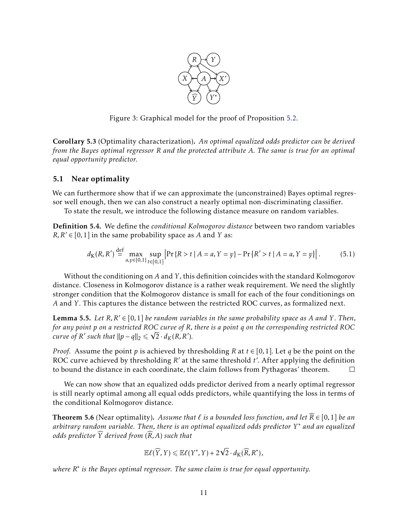

Figure 3: Graphical model for the proof of Proposition [5.2.](#page-9-1)

<span id="page-10-1"></span>Corollary 5.3 (Optimality characterization). *An optimal equalized odds predictor can be derived from the Bayes optimal regressor R and the protected attribute A. The same is true for an optimal equal opportunity predictor.*

## 5.1 Near optimality

We can furthermore show that if we can approximate the (unconstrained) Bayes optimal regressor well enough, then we can also construct a nearly optimal non-discriminating classifier.

To state the result, we introduce the following distance measure on random variables.

Definition 5.4. We define the *conditional Kolmogorov distance* between two random variables  $R, R' \in [0, 1]$  in the same probability space as *A* and *Y* as:

$$
d_{K}(R, R') \stackrel{\text{def}}{=} \max_{a, y \in \{0, 1\}} \sup_{t \in [0, 1]} \left| \Pr\left\{R > t \mid A = a, Y = y\right\} - \Pr\left\{R' > t \mid A = a, Y = y\right\} \right|.
$$
 (5.1)

Without the conditioning on *A* and *Y ,* this definition coincides with the standard Kolmogorov distance. Closeness in Kolmogorov distance is a rather weak requirement. We need the slightly stronger condition that the Kolmogorov distance is small for each of the four conditionings on *A* and *Y .* This captures the distance between the restricted ROC curves, as formalized next.

<span id="page-10-2"></span>**Lemma 5.5.** Let  $R, R' \in [0, 1]$  be random variables in the same probability space as A and Y. Then, *for any point p on a restricted ROC curve of R, there is a point q on the corresponding restricted ROC* √ *curve of*  $R'$  such that  $||p - q||_2 \leq \sqrt{2} \cdot d_K(R, R').$ 

*Proof.* Assume the point *p* is achieved by thresholding *R* at  $t \in [0,1]$ *. Let q* be the point on the ROC curve achieved by thresholding *R'* at the same threshold *t'*. After applying the definition to bound the distance in each coordinate, the claim follows from Pythagoras' theorem.  $\Box$ 

We can now show that an equalized odds predictor derived from a nearly optimal regressor is still nearly optimal among all equal odds predictors, while quantifying the loss in terms of the conditional Kolmogorov distance.

<span id="page-10-0"></span>**Theorem 5.6** (Near optimality). *Assume that*  $\ell$  *is a bounded loss function, and let*  $\widehat{R} \in [0,1]$  *be an arbitrary random variable. Then, there is an optimal equalized odds predictor Y* ∗ *and an equalized odds predictor*  $\widehat{Y}$  *derived from*  $(\widehat{R},A)$  *such that* 

$$
\mathbb{E}\ell(\widehat{Y},Y)\leqslant \mathbb{E}\ell(Y^*,Y)+2\sqrt{2}\cdot d_{\mathrm{K}}(\widehat{R},R^*),
$$

*where R* ∗ *is the Bayes optimal regressor. The same claim is true for equal opportunity.*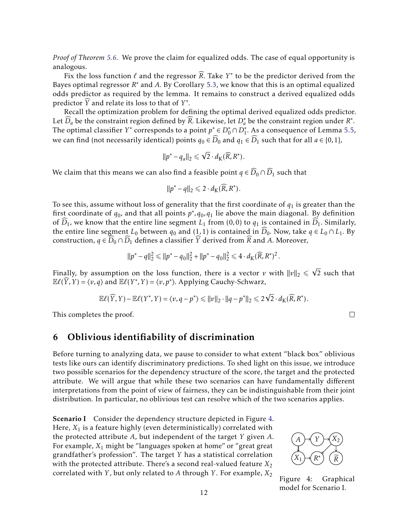*Proof of Theorem [5.6.](#page-10-0)* We prove the claim for equalized odds. The case of equal opportunity is analogous.

Fix the loss function  $\ell$  and the regressor  $\widehat{R}$ . Take  $Y^*$  to be the predictor derived from the Bayes optimal regressor *R* <sup>∗</sup> and *A.* By Corollary [5.3,](#page-10-1) we know that this is an optimal equalized odds predictor as required by the lemma. It remains to construct a derived equalized odds predictor  $\widehat{Y}$  and relate its loss to that of  $Y^*$ .

Recall the optimization problem for defining the optimal derived equalized odds predictor. Let  $\widehat{D}_a$  be the constraint region defined by  $\widehat{R}$ . Likewise, let  $D_a^*$  be the constraint region under  $R^*$ . The optimal classifier *Y*<sup>\*</sup> corresponds to a point  $p^* \in D_0^* \cap D_1^*$ 1 *.* As a consequence of Lemma [5.5,](#page-10-2) we can find (not necessarily identical) points  $q_0 \in \widehat{D}_0$  and  $q_1 \in \widehat{D}_1$  such that for all  $a \in \{0,1\}$ *,* 

$$
||p^* - q_a||_2 \leq \sqrt{2} \cdot d_K(\widehat{R}, R^*).
$$

We claim that this means we can also find a feasible point  $q \in \widehat{D}_0 \cap \widehat{D}_1$  such that

$$
||p^* - q||_2 \leq 2 \cdot d_K(\widehat{R}, R^*).
$$

To see this, assume without loss of generality that the first coordinate of  $q_1$  is greater than the first coordinate of  $q_0$ , and that all points  $p^*$ ,  $q_0$ ,  $q_1$  lie above the main diagonal. By definition of  $\overline{D}_1$ , we know that the entire line segment  $L_1$  from (0,0) to  $q_1$  is contained in  $\overline{D}_1$ . Similarly, the entire line segment *L*<sub>0</sub> between  $q_0$  and (1, 1) is contained in  $\widehat{D}_0$ . Now, take  $q \in L_0 \cap L_1$ . By construction,  $q \in D_0 \cap D_1$  defines a classifier *Y* derived from *R* and *A*. Moreover,

$$
||p^* - q||_2^2 \le ||p^* - q_0||_2^2 + ||p^* - q_0||_2^2 \le 4 \cdot d_K(\widehat{R}, R^*)^2.
$$

Finally, by assumption on the loss function, there is a vector  $v$  with  $||v||_2 \le$ √ 2 such that  $\mathbb{E}\ell(\widehat{Y}, Y) = \langle v, q \rangle$  and  $\mathbb{E}\ell(Y^*, Y) = \langle v, p^* \rangle$ . Applying Cauchy-Schwarz,

$$
\mathbb{E}\ell(\widehat{Y},Y)-\mathbb{E}\ell(Y^*,Y)=\langle v,q-p^*\rangle\leq ||v||_2\cdot ||q-p^*||_2\leq 2\sqrt{2}\cdot d_K(\widehat{R},R^*).
$$

√

This completes the proof.

## <span id="page-11-1"></span>6 Oblivious identifiability of discrimination

Before turning to analyzing data, we pause to consider to what extent "black box" oblivious tests like ours can identify discriminatory predictions. To shed light on this issue, we introduce two possible scenarios for the dependency structure of the score, the target and the protected attribute. We will argue that while these two scenarios can have fundamentally different interpretations from the point of view of fairness, they can be indistinguishable from their joint distribution. In particular, no oblivious test can resolve which of the two scenarios applies.

**Scenario I** Consider the dependency structure depicted in Figure [4.](#page-11-0) Here,  $X_1$  is a feature highly (even deterministically) correlated with the protected attribute *A*, but independent of the target *Y* given *A*. For example, *X*<sup>1</sup> might be "languages spoken at home" or "great great grandfather's profession". The target *Y* has a statistical correlation with the protected attribute. There's a second real-valued feature  $X_2$ correlated with *Y* , but only related to *A* through *Y* . For example, *X*<sup>2</sup>

<span id="page-11-0"></span>

 $\Box$ 

Figure 4: Graphical model for Scenario I.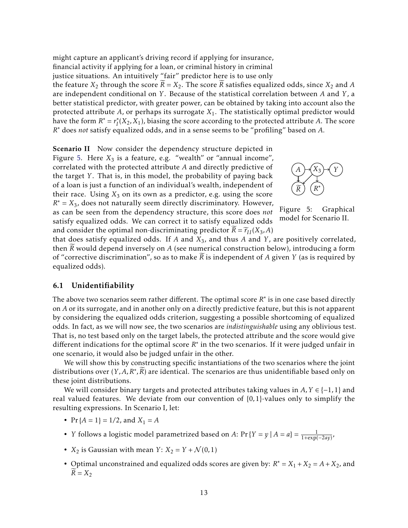might capture an applicant's driving record if applying for insurance, financial activity if applying for a loan, or criminal history in criminal justice situations. An intuitively "fair" predictor here is to use only the feature  $X_2$  through the score  $\overline{R} = X_2$ . The score  $\overline{R}$  satisfies equalized odds, since  $X_2$  and  $\overline{A}$ are independent conditional on *Y* . Because of the statistical correlation between *A* and *Y* , a better statistical predictor, with greater power, can be obtained by taking into account also the protected attribute *A*, or perhaps its surrogate *X*1. The statistically optimal predictor would have the form  $R^* = r_I^*$  $I_I^*(X_2,X_1)$ , biasing the score according to the protected attribute *A*. The score *R* <sup>∗</sup> does *not* satisfy equalized odds, and in a sense seems to be "profiling" based on *A.*

**Scenario II** Now consider the dependency structure depicted in Figure [5.](#page-12-0) Here  $X_3$  is a feature, e.g. "wealth" or "annual income", correlated with the protected attribute *A* and directly predictive of the target *Y* . That is, in this model, the probability of paying back of a loan is just a function of an individual's wealth, independent of their race. Using  $X_3$  on its own as a predictor, e.g. using the score  $R^* = X_3$ , does not naturally seem directly discriminatory. However, as can be seen from the dependency structure, this score does *not* satisfy equalized odds. We can correct it to satisfy equalized odds and consider the optimal non-discriminating predictor  $\overline{R} = \overline{r}_{II}(X_3, A)$ 

<span id="page-12-0"></span>

Figure 5: Graphical model for Scenario II.

that does satisfy equalized odds. If *A* and *X*3, and thus *A* and *Y* , are positively correlated, then *R*e would depend inversely on *A* (see numerical construction below), introducing a form of "corrective discrimination", so as to make  $\overline{R}$  is independent of  $\overline{A}$  given  $\overline{Y}$  (as is required by equalized odds).

## 6.1 Unidentifiability

The above two scenarios seem rather different. The optimal score  $R^*$  is in one case based directly on *A* or its surrogate, and in another only on a directly predictive feature, but this is not apparent by considering the equalized odds criterion, suggesting a possible shortcoming of equalized odds. In fact, as we will now see, the two scenarios are *indistinguishable* using any oblivious test. That is, no test based only on the target labels, the protected attribute and the score would give different indications for the optimal score *R*<sup>\*</sup> in the two scenarios. If it were judged unfair in one scenario, it would also be judged unfair in the other.

We will show this by constructing specific instantiations of the two scenarios where the joint distributions over  $(Y, A, R^*, \widetilde{R})$  are identical. The scenarios are thus unidentifiable based only on these joint distributions.

We will consider binary targets and protected attributes taking values in  $A, Y \in \{-1, 1\}$  and real valued features. We deviate from our convention of {0*,*1}-values only to simplify the resulting expressions. In Scenario I, let:

- $Pr{A = 1} = \frac{1}{2}$ , and  $X_1 = A$
- *Y* follows a logistic model parametrized based on *A*:  $Pr\{Y = y | A = a\} = \frac{1}{1 + exp(-2ay)}$
- $X_2$  is Gaussian with mean  $Y: X_2 = Y + \mathcal{N}(0, 1)$
- Optimal unconstrained and equalized odds scores are given by:  $R^* = X_1 + X_2 = A + X_2$ , and  $\widetilde{R} = X_2$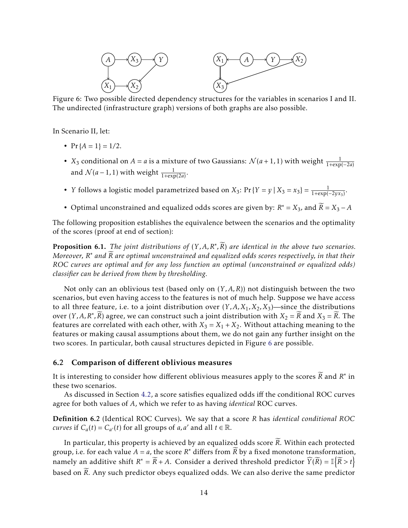<span id="page-13-0"></span>

Figure 6: Two possible directed dependency structures for the variables in scenarios I and II. The undirected (infrastructure graph) versions of both graphs are also possible.

In Scenario II, let:

- $Pr{A = 1} = 1/2$ .
- *X*<sub>3</sub> conditional on *A* = *a* is a mixture of two Gaussians:  $\mathcal{N}(a+1,1)$  with weight  $\frac{1}{1+\exp(-2a)}$ and  $\mathcal{N}(a-1,1)$  with weight  $\frac{1}{1+\exp(2a)}$ *.*
- *Y* follows a logistic model parametrized based on *X*<sub>3</sub>:  $Pr{Y = y | X_3 = x_3} = \frac{1}{1+exp{(-2yx_3)}}$ .
- Optimal unconstrained and equalized odds scores are given by:  $R^* = X_3$ , and  $\widetilde{R} = X_3 A$

The following proposition establishes the equivalence between the scenarios and the optimality of the scores (proof at end of section):

<span id="page-13-1"></span>**Proposition 6.1.** *The joint distributions of*  $(Y, A, R^*, \overline{R})$  *are identical in the above two scenarios. Moreover, R* <sup>∗</sup> *and <sup>R</sup>*<sup>e</sup> *are optimal unconstrained and equalized odds scores respectively, in that their ROC curves are optimal and for any loss function an optimal (unconstrained or equalized odds) classifier can be derived from them by thresholding.*

Not only can an oblivious test (based only on (*Y ,A,R*)) not distinguish between the two scenarios, but even having access to the features is not of much help. Suppose we have access to all three feature, i.e. to a joint distribution over  $(Y, A, X_1, X_2, X_3)$ —since the distributions over  $(Y, A, R^*, \widetilde{R})$  agree, we can construct such a joint distribution with  $X_2 = \widetilde{R}$  and  $X_3 = \widetilde{R}$ . The features are correlated with each other, with  $X_3 = X_1 + X_2$ . Without attaching meaning to the features or making causal assumptions about them, we do not gain any further insight on the two scores. In particular, both causal structures depicted in Figure [6](#page-13-0) are possible.

#### 6.2 Comparison of different oblivious measures

It is interesting to consider how different oblivious measures apply to the scores  $\widetilde{R}$  and  $R^*$  in these two scenarios.

As discussed in Section [4.2,](#page-7-0) a score satisfies equalized odds iff the conditional ROC curves agree for both values of *A*, which we refer to as having *identical* ROC curves.

Definition 6.2 (Identical ROC Curves). We say that a score *R* has *identical conditional ROC curves* if  $C_a(t) = C_{a'}(t)$  for all groups of *a, a'* and all  $t \in \mathbb{R}$ .

In particular, this property is achieved by an equalized odds score  $\widetilde{R}$ . Within each protected group, i.e. for each value  $A = a$ , the score  $R^*$  differs from  $\widetilde{R}$  by a fixed monotone transformation, namely an additive shift  $R^* = \widetilde{R} + A$ . Consider a derived threshold predictor  $\widehat{Y}(\widetilde{R}) = \mathbb{I}\left\{\widetilde{R} > t\right\}$ based on  $\widetilde{R}$ . Any such predictor obeys equalized odds. We can also derive the same predictor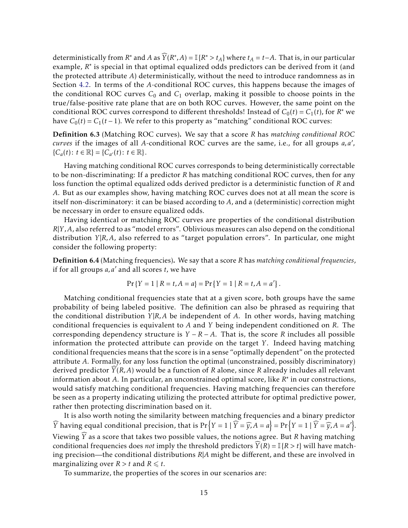deterministically from *R*<sup>\*</sup> and *A* as  $\widehat{Y}(R^*, A) = \mathbb{I}\{R^* > t_A\}$  where  $t_A = t - A$ . That is, in our particular example, *R*<sup>\*</sup> is special in that optimal equalized odds predictors can be derived from it (and the protected attribute *A*) deterministically, without the need to introduce randomness as in Section [4.2.](#page-7-0) In terms of the *A*-conditional ROC curves, this happens because the images of the conditional ROC curves  $C_0$  and  $C_1$  overlap, making it possible to choose points in the true/false-positive rate plane that are on both ROC curves. However, the same point on the conditional ROC curves correspond to different thresholds! Instead of  $C_0(t) = C_1(t)$ , for  $R^*$  we have  $C_0(t) = C_1(t-1)$ . We refer to this property as "matching" conditional ROC curves:

Definition 6.3 (Matching ROC curves). We say that a score *R* has *matching conditional ROC curves* if the images of all *A*-conditional ROC curves are the same, i.e., for all groups  $a, a'$ ,  ${C_a(t): t \in \mathbb{R} } = {C_{a'}(t): t \in \mathbb{R} }.$ 

Having matching conditional ROC curves corresponds to being deterministically correctable to be non-discriminating: If a predictor *R* has matching conditional ROC curves, then for any loss function the optimal equalized odds derived predictor is a deterministic function of *R* and *A*. But as our examples show, having matching ROC curves does not at all mean the score is itself non-discriminatory: it can be biased according to *A*, and a (deterministic) correction might be necessary in order to ensure equalized odds.

Having identical or matching ROC curves are properties of the conditional distribution *R*|*Y ,A*, also referred to as "model errors". Oblivious measures can also depend on the conditional distribution *Y* |*R,A*, also referred to as "target population errors". In particular, one might consider the following property:

Definition 6.4 (Matching frequencies). We say that a score *R* has *matching conditional frequencies*, if for all groups *a*, *a'* and all scores *t*, we have

$$
Pr\{Y=1 \mid R=t, A=a\} = Pr\{Y=1 \mid R=t, A=a'\}
$$

*.*

Matching conditional frequencies state that at a given score, both groups have the same probability of being labeled positive. The definition can also be phrased as requiring that the conditional distribution *Y* |*R,A* be independent of *A*. In other words, having matching conditional frequencies is equivalent to *A* and *Y* being independent conditioned on *R*. The corresponding dependency structure is  $Y - R - A$ . That is, the score *R* includes all possible information the protected attribute can provide on the target *Y*. Indeed having matching conditional frequencies means that the score is in a sense "optimally dependent" on the protected attribute *A*. Formally, for any loss function the optimal (unconstrained, possibly discriminatory) derived predictor  $\hat{Y}(R,A)$  would be a function of  $R$  alone, since  $R$  already includes all relevant information about *A*. In particular, an unconstrained optimal score, like *R* ∗ in our constructions, would satisfy matching conditional frequencies. Having matching frequencies can therefore be seen as a property indicating utilizing the protected attribute for optimal predictive power, rather then protecting discrimination based on it.

It is also worth noting the similarity between matching frequencies and a binary predictor  $\widehat{Y}$  having equal conditional precision, that is  $Pr\left\{Y = 1 \mid \widehat{Y} = \widehat{y}, A = a\right\} = Pr\left\{Y = 1 \mid \widehat{Y} = \widehat{y}, A = a'\right\}.$ Viewing  $\widehat{Y}$  as a score that takes two possible values, the notions agree. But *R* having matching conditional frequencies does *not* imply the threshold predictors  $\overline{Y}(R) = \mathbb{I}{R > t}$  will have matching precision—the conditional distributions *R*|*A* might be different, and these are involved in marginalizing over  $R > t$  and  $R \leq t$ .

To summarize, the properties of the scores in our scenarios are: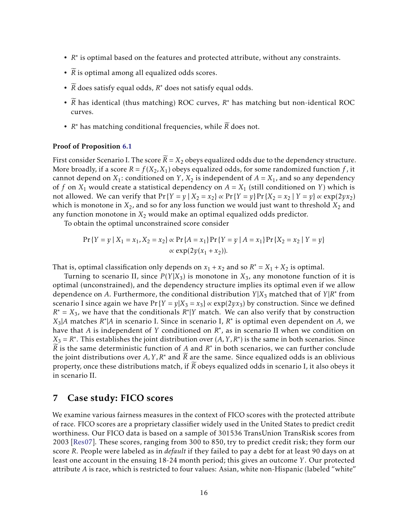- *R* ∗ is optimal based on the features and protected attribute, without any constraints.
- $\widetilde{R}$  is optimal among all equalized odds scores.
- $\widetilde{R}$  does satisfy equal odds,  $R^*$  does not satisfy equal odds.
- $\widetilde{R}$  has identical (thus matching) ROC curves,  $R^*$  has matching but non-identical ROC curves.
- $R^*$  has matching conditional frequencies, while  $\widetilde{R}$  does not.

#### Proof of Proposition [6.1](#page-13-1)

First consider Scenario I. The score  $\widetilde{R} = X_2$  obeys equalized odds due to the dependency structure. More broadly, if a score  $R = f(X_2, X_1)$  obeys equalized odds, for some randomized function f, it cannot depend on  $X_1$ : conditioned on *Y*,  $X_2$  is independent of  $A = X_1$ , and so any dependency of *f* on  $X_1$  would create a statistical dependency on  $A = X_1$  (still conditioned on *Y*) which is not allowed. We can verify that  $Pr{Y = y | X_2 = x_2} \propto Pr{Y = y} Pr{X_2 = x_2 | Y = y} \propto exp(2yx_2)$ which is monotone in  $X_2$ , and so for any loss function we would just want to threshold  $X_2$  and any function monotone in  $X_2$  would make an optimal equalized odds predictor.

To obtain the optimal unconstrained score consider

$$
\Pr\{Y = y \mid X_1 = x_1, X_2 = x_2\} \propto \Pr\{A = x_1\} \Pr\{Y = y \mid A = x_1\} \Pr\{X_2 = x_2 \mid Y = y\}
$$

$$
\propto \exp(2y(x_1 + x_2)).
$$

That is, optimal classification only depends on  $x_1 + x_2$  and so  $R^* = X_1 + X_2$  is optimal.

Turning to scenario II, since  $P(Y|X_3)$  is monotone in  $X_3$ , any monotone function of it is optimal (unconstrained), and the dependency structure implies its optimal even if we allow dependence on *A*. Furthermore, the conditional distribution *Y* |*X*<sup>3</sup> matched that of *Y* |*R* ∗ from scenario I since again we have  $Pr{Y = y|X_3 = x_3} \propto exp(2yx_3)$  by construction. Since we defined  $R^* = X_3$ , we have that the conditionals  $R^*|Y$  match. We can also verify that by construction  $X_3$ |*A* matches  $R^*$ |*A* in scenario I. Since in scenario I,  $R^*$  is optimal even dependent on *A*, we have that *A* is independent of *Y* conditioned on *R*<sup>\*</sup>, as in scenario II when we condition on  $X_3 = R^*$ . This establishes the joint distribution over  $(A, Y, R^*)$  is the same in both scenarios. Since  $\widetilde{R}$  is the same deterministic function of *A* and *R*<sup>\*</sup> in both scenarios, we can further conclude the joint distributions over A, Y, R<sup>\*</sup> and  $\widetilde{R}$  are the same. Since equalized odds is an oblivious property, once these distributions match, if *R* obeys equalized odds in scenario I, it also obeys it in scenario II.

## 7 Case study: FICO scores

We examine various fairness measures in the context of FICO scores with the protected attribute of race. FICO scores are a proprietary classifier widely used in the United States to predict credit worthiness. Our FICO data is based on a sample of 301536 TransUnion TransRisk scores from 2003 [\[Res07\]](#page-21-14). These scores, ranging from 300 to 850, try to predict credit risk; they form our score *R*. People were labeled as in *default* if they failed to pay a debt for at least 90 days on at least one account in the ensuing 18-24 month period; this gives an outcome *Y* . Our protected attribute *A* is race, which is restricted to four values: Asian, white non-Hispanic (labeled "white"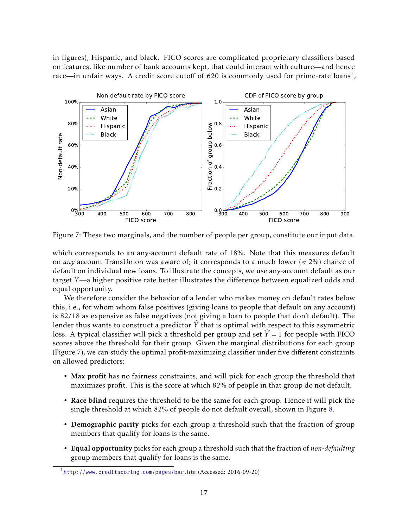in figures), Hispanic, and black. FICO scores are complicated proprietary classifiers based on features, like number of bank accounts kept, that could interact with culture—and hence race—in unfair ways. A credit score cutoff of 620 is commonly used for prime-rate loans $^1$  $^1$ ,

<span id="page-16-1"></span>

Figure 7: These two marginals, and the number of people per group, constitute our input data.

which corresponds to an any-account default rate of 18%. Note that this measures default on *any* account TransUnion was aware of; it corresponds to a much lower ( $\approx$  2%) chance of default on individual new loans. To illustrate the concepts, we use any-account default as our target *Y*—a higher positive rate better illustrates the difference between equalized odds and equal opportunity.

We therefore consider the behavior of a lender who makes money on default rates below this, i.e., for whom whom false positives (giving loans to people that default on any account) is 82/18 as expensive as false negatives (not giving a loan to people that don't default). The lender thus wants to construct a predictor  $\hat{Y}$  that is optimal with respect to this asymmetric loss. A typical classifier will pick a threshold per group and set  $\hat{Y} = 1$  for people with FICO scores above the threshold for their group. Given the marginal distributions for each group (Figure [7\)](#page-16-1), we can study the optimal profit-maximizing classifier under five different constraints on allowed predictors:

- Max profit has no fairness constraints, and will pick for each group the threshold that maximizes profit. This is the score at which 82% of people in that group do not default.
- Race blind requires the threshold to be the same for each group. Hence it will pick the single threshold at which 82% of people do not default overall, shown in Figure [8.](#page-17-0)
- Demographic parity picks for each group a threshold such that the fraction of group members that qualify for loans is the same.
- Equal opportunity picks for each group a threshold such that the fraction of *non-defaulting* group members that qualify for loans is the same.

<span id="page-16-0"></span><sup>1</sup><http://www.creditscoring.com/pages/bar.htm> (Accessed: 2016-09-20)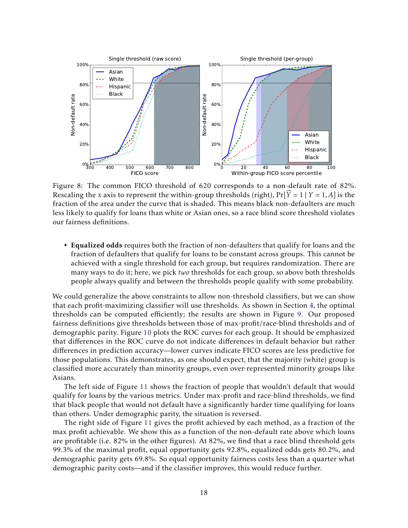<span id="page-17-0"></span>

Figure 8: The common FICO threshold of 620 corresponds to a non-default rate of 82%. Rescaling the *x* axis to represent the within-group thresholds (right),  $Pr[\widehat{Y} = 1 | Y = 1, A]$  is the fraction of the area under the curve that is shaded. This means black non-defaulters are much less likely to qualify for loans than white or Asian ones, so a race blind score threshold violates our fairness definitions.

• Equalized odds requires both the fraction of non-defaulters that qualify for loans and the fraction of defaulters that qualify for loans to be constant across groups. This cannot be achieved with a single threshold for each group, but requires randomization. There are many ways to do it; here, we pick *two* thresholds for each group, so above both thresholds people always qualify and between the thresholds people qualify with some probability.

We could generalize the above constraints to allow non-threshold classifiers, but we can show that each profit-maximizing classifier will use thresholds. As shown in Section [4,](#page-4-0) the optimal thresholds can be computed efficiently; the results are shown in Figure [9.](#page-18-0) Our proposed fairness definitions give thresholds between those of max-profit/race-blind thresholds and of demographic parity. Figure [10](#page-19-0) plots the ROC curves for each group. It should be emphasized that differences in the ROC curve do not indicate differences in default behavior but rather differences in prediction accuracy—lower curves indicate FICO scores are less predictive for those populations. This demonstrates, as one should expect, that the majority (white) group is classified more accurately than minority groups, even over-represented minority groups like Asians.

The left side of Figure [11](#page-19-1) shows the fraction of people that wouldn't default that would qualify for loans by the various metrics. Under max-profit and race-blind thresholds, we find that black people that would not default have a significantly harder time qualifying for loans than others. Under demographic parity, the situation is reversed.

The right side of Figure [11](#page-19-1) gives the profit achieved by each method, as a fraction of the max profit achievable. We show this as a function of the non-default rate above which loans are profitable (i.e. 82% in the other figures). At 82%, we find that a race blind threshold gets 99.3% of the maximal profit, equal opportunity gets 92.8%, equalized odds gets 80.2%, and demographic parity gets 69.8%. So equal opportunity fairness costs less than a quarter what demographic parity costs—and if the classifier improves, this would reduce further.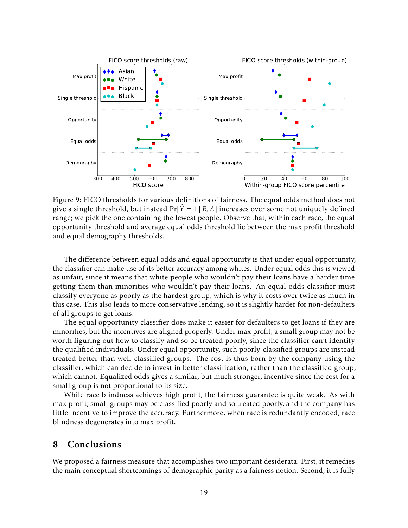<span id="page-18-0"></span>

Figure 9: FICO thresholds for various definitions of fairness. The equal odds method does not give a single threshold, but instead  $Pr[\widehat{Y} = 1 | R, A]$  increases over some not uniquely defined range; we pick the one containing the fewest people. Observe that, within each race, the equal opportunity threshold and average equal odds threshold lie between the max profit threshold and equal demography thresholds.

The difference between equal odds and equal opportunity is that under equal opportunity, the classifier can make use of its better accuracy among whites. Under equal odds this is viewed as unfair, since it means that white people who wouldn't pay their loans have a harder time getting them than minorities who wouldn't pay their loans. An equal odds classifier must classify everyone as poorly as the hardest group, which is why it costs over twice as much in this case. This also leads to more conservative lending, so it is slightly harder for non-defaulters of all groups to get loans.

The equal opportunity classifier does make it easier for defaulters to get loans if they are minorities, but the incentives are aligned properly. Under max profit, a small group may not be worth figuring out how to classify and so be treated poorly, since the classifier can't identify the qualified individuals. Under equal opportunity, such poorly-classified groups are instead treated better than well-classified groups. The cost is thus born by the company using the classifier, which can decide to invest in better classification, rather than the classified group, which cannot. Equalized odds gives a similar, but much stronger, incentive since the cost for a small group is not proportional to its size.

While race blindness achieves high profit, the fairness guarantee is quite weak. As with max profit, small groups may be classified poorly and so treated poorly, and the company has little incentive to improve the accuracy. Furthermore, when race is redundantly encoded, race blindness degenerates into max profit.

## 8 Conclusions

We proposed a fairness measure that accomplishes two important desiderata. First, it remedies the main conceptual shortcomings of demographic parity as a fairness notion. Second, it is fully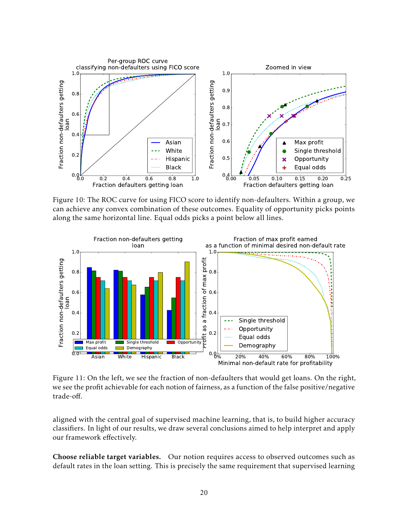<span id="page-19-0"></span>

Figure 10: The ROC curve for using FICO score to identify non-defaulters. Within a group, we can achieve any convex combination of these outcomes. Equality of opportunity picks points along the same horizontal line. Equal odds picks a point below all lines.

<span id="page-19-1"></span>

Figure 11: On the left, we see the fraction of non-defaulters that would get loans. On the right, we see the profit achievable for each notion of fairness, as a function of the false positive/negative trade-off.

aligned with the central goal of supervised machine learning, that is, to build higher accuracy classifiers. In light of our results, we draw several conclusions aimed to help interpret and apply our framework effectively.

Choose reliable target variables. Our notion requires access to observed outcomes such as default rates in the loan setting. This is precisely the same requirement that supervised learning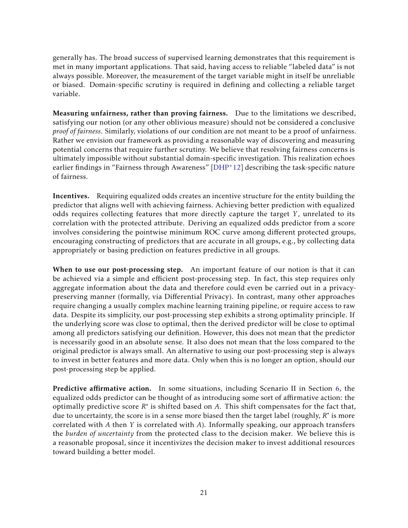generally has. The broad success of supervised learning demonstrates that this requirement is met in many important applications. That said, having access to reliable "labeled data" is not always possible. Moreover, the measurement of the target variable might in itself be unreliable or biased. Domain-specific scrutiny is required in defining and collecting a reliable target variable.

Measuring unfairness, rather than proving fairness. Due to the limitations we described, satisfying our notion (or any other oblivious measure) should not be considered a conclusive *proof of fairness*. Similarly, violations of our condition are not meant to be a proof of unfairness. Rather we envision our framework as providing a reasonable way of discovering and measuring potential concerns that require further scrutiny. We believe that resolving fairness concerns is ultimately impossible without substantial domain-specific investigation. This realization echoes earlier findings in "Fairness through Awareness"  $[DHP^+12]$  $[DHP^+12]$  describing the task-specific nature of fairness.

Incentives. Requiring equalized odds creates an incentive structure for the entity building the predictor that aligns well with achieving fairness. Achieving better prediction with equalized odds requires collecting features that more directly capture the target *Y* , unrelated to its correlation with the protected attribute. Deriving an equalized odds predictor from a score involves considering the pointwise minimum ROC curve among different protected groups, encouraging constructing of predictors that are accurate in all groups, e.g., by collecting data appropriately or basing prediction on features predictive in all groups.

When to use our post-processing step. An important feature of our notion is that it can be achieved via a simple and efficient post-processing step. In fact, this step requires only aggregate information about the data and therefore could even be carried out in a privacypreserving manner (formally, via Differential Privacy). In contrast, many other approaches require changing a usually complex machine learning training pipeline, or require access to raw data. Despite its simplicity, our post-processing step exhibits a strong optimality principle. If the underlying score was close to optimal, then the derived predictor will be close to optimal among all predictors satisfying our definition. However, this does not mean that the predictor is necessarily good in an absolute sense. It also does not mean that the loss compared to the original predictor is always small. An alternative to using our post-processing step is always to invest in better features and more data. Only when this is no longer an option, should our post-processing step be applied.

Predictive affirmative action. In some situations, including Scenario II in Section [6,](#page-11-1) the equalized odds predictor can be thought of as introducing some sort of affirmative action: the optimally predictive score *R*<sup>\*</sup> is shifted based on *A*. This shift compensates for the fact that, due to uncertainty, the score is in a sense more biased then the target label (roughly, *R* ∗ is more correlated with *A* then *Y* is correlated with *A*). Informally speaking, our approach transfers the *burden of uncertainty* from the protected class to the decision maker. We believe this is a reasonable proposal, since it incentivizes the decision maker to invest additional resources toward building a better model.